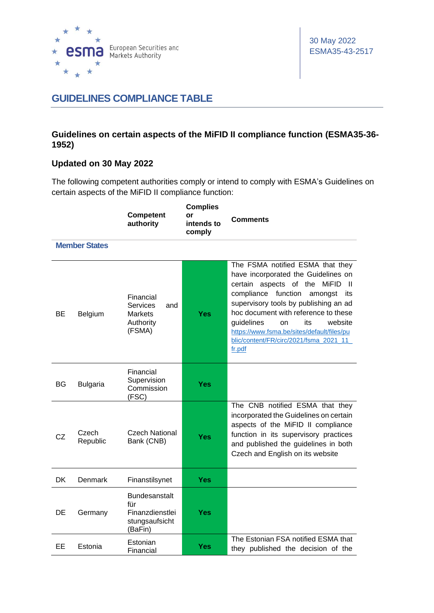

## **GUIDELINES COMPLIANCE TABLE**

## **Guidelines on certain aspects of the MiFID II compliance function (ESMA35-36- 1952)**

## **Updated on 30 May 2022**

The following competent authorities comply or intend to comply with ESMA's Guidelines on certain aspects of the MiFID II compliance function:

|     |                      | <b>Competent</b><br>authority                                                | <b>Complies</b><br>or<br>intends to<br>comply | <b>Comments</b>                                                                                                                                                                                                                                                                                                                                                                            |
|-----|----------------------|------------------------------------------------------------------------------|-----------------------------------------------|--------------------------------------------------------------------------------------------------------------------------------------------------------------------------------------------------------------------------------------------------------------------------------------------------------------------------------------------------------------------------------------------|
|     | <b>Member States</b> |                                                                              |                                               |                                                                                                                                                                                                                                                                                                                                                                                            |
| BE  | <b>Belgium</b>       | Financial<br><b>Services</b><br>and<br><b>Markets</b><br>Authority<br>(FSMA) | Yes                                           | The FSMA notified ESMA that they<br>have incorporated the Guidelines on<br>aspects of the<br>certain<br>MiFID<br>-11<br>compliance<br>function<br>amongst<br>its<br>supervisory tools by publishing an ad<br>hoc document with reference to these<br>guidelines<br>website<br>its<br>on<br>https://www.fsma.be/sites/default/files/pu<br>blic/content/FR/circ/2021/fsma_2021_11_<br>fr.pdf |
| BG  | <b>Bulgaria</b>      | Financial<br>Supervision<br>Commission<br>(FSC)                              | Yes                                           |                                                                                                                                                                                                                                                                                                                                                                                            |
| CZ  | Czech<br>Republic    | <b>Czech National</b><br>Bank (CNB)                                          | Yes                                           | The CNB notified ESMA that they<br>incorporated the Guidelines on certain<br>aspects of the MiFID II compliance<br>function in its supervisory practices<br>and published the guidelines in both<br>Czech and English on its website                                                                                                                                                       |
| DK. | Denmark              | Finanstilsynet                                                               | Yes                                           |                                                                                                                                                                                                                                                                                                                                                                                            |
| DE  | Germany              | Bundesanstalt<br>für<br>Finanzdienstlei<br>stungsaufsicht<br>(BaFin)         | <b>Yes</b>                                    |                                                                                                                                                                                                                                                                                                                                                                                            |
| EЕ  | Estonia              | Estonian<br>Financial                                                        | Yes                                           | The Estonian FSA notified ESMA that<br>they published the decision of the                                                                                                                                                                                                                                                                                                                  |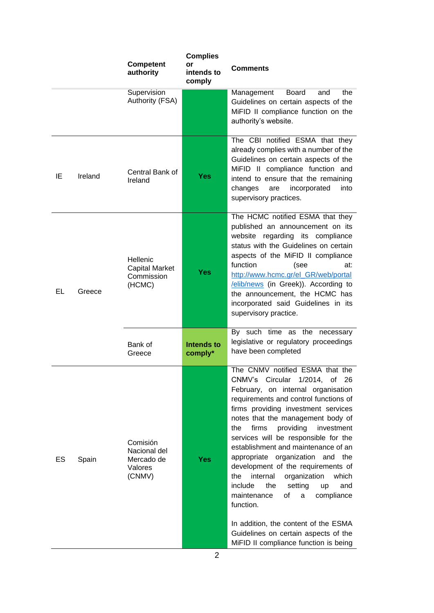|    |         | <b>Competent</b><br>authority                               | <b>Complies</b><br>or<br>intends to<br>comply | <b>Comments</b>                                                                                                                                                                                                                                                                                                                                                                                                                                                                                                                                                                                                                                                                                     |
|----|---------|-------------------------------------------------------------|-----------------------------------------------|-----------------------------------------------------------------------------------------------------------------------------------------------------------------------------------------------------------------------------------------------------------------------------------------------------------------------------------------------------------------------------------------------------------------------------------------------------------------------------------------------------------------------------------------------------------------------------------------------------------------------------------------------------------------------------------------------------|
|    |         | Supervision<br>Authority (FSA)                              |                                               | the<br><b>Board</b><br>Management<br>and<br>Guidelines on certain aspects of the<br>MiFID II compliance function on the<br>authority's website.                                                                                                                                                                                                                                                                                                                                                                                                                                                                                                                                                     |
| ΙE | Ireland | Central Bank of<br>Ireland                                  | <b>Yes</b>                                    | The CBI notified ESMA that they<br>already complies with a number of the<br>Guidelines on certain aspects of the<br>MiFID II compliance function and<br>intend to ensure that the remaining<br>changes<br>incorporated<br>into<br>are<br>supervisory practices.                                                                                                                                                                                                                                                                                                                                                                                                                                     |
| EL | Greece  | Hellenic<br><b>Capital Market</b><br>Commission<br>(HCMC)   | <b>Yes</b>                                    | The HCMC notified ESMA that they<br>published an announcement on its<br>website regarding its<br>compliance<br>status with the Guidelines on certain<br>aspects of the MiFID II compliance<br>function<br>(see<br>at:<br>http://www.hcmc.gr/el_GR/web/portal<br>/elib/news (in Greek)). According to<br>the announcement, the HCMC has<br>incorporated said Guidelines in its<br>supervisory practice.                                                                                                                                                                                                                                                                                              |
|    |         | Bank of<br>Greece                                           | <b>Intends to</b><br>comply*                  | By such time as the<br>necessary<br>legislative or regulatory proceedings<br>have been completed                                                                                                                                                                                                                                                                                                                                                                                                                                                                                                                                                                                                    |
| ES | Spain   | Comisión<br>Nacional del<br>Mercado de<br>Valores<br>(CNMV) | <b>Yes</b>                                    | The CNMV notified ESMA that the<br>CNMV's Circular 1/2014, of 26<br>February, on internal organisation<br>requirements and control functions of<br>firms providing investment services<br>notes that the management body of<br>firms<br>providing<br>investment<br>the<br>services will be responsible for the<br>establishment and maintenance of an<br>appropriate organization and the<br>development of the requirements of<br>internal<br>organization<br>which<br>the<br>include<br>the<br>setting<br>and<br>up<br>οf<br>maintenance<br>compliance<br>a<br>function.<br>In addition, the content of the ESMA<br>Guidelines on certain aspects of the<br>MiFID II compliance function is being |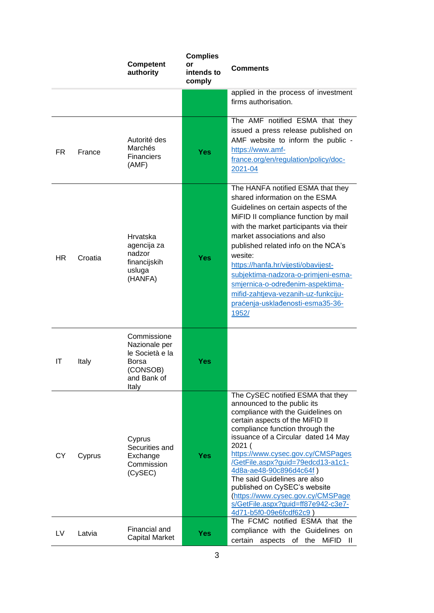|           |         | <b>Competent</b><br>authority                                                                | <b>Complies</b><br>or<br>intends to<br>comply | Comments                                                                                                                                                                                                                                                                                                                                                                                                                                                                                                |
|-----------|---------|----------------------------------------------------------------------------------------------|-----------------------------------------------|---------------------------------------------------------------------------------------------------------------------------------------------------------------------------------------------------------------------------------------------------------------------------------------------------------------------------------------------------------------------------------------------------------------------------------------------------------------------------------------------------------|
|           |         |                                                                                              |                                               | applied in the process of investment<br>firms authorisation.                                                                                                                                                                                                                                                                                                                                                                                                                                            |
| FR.       | France  | Autorité des<br>Marchés<br><b>Financiers</b><br>(AMF)                                        | <b>Yes</b>                                    | The AMF notified ESMA that they<br>issued a press release published on<br>AMF website to inform the public -<br>https://www.amf-<br>france.org/en/regulation/policy/doc-<br>2021-04                                                                                                                                                                                                                                                                                                                     |
| HR.       | Croatia | Hrvatska<br>agencija za<br>nadzor<br>financijskih<br>usluga<br>(HANFA)                       | Yes                                           | The HANFA notified ESMA that they<br>shared information on the ESMA<br>Guidelines on certain aspects of the<br>MiFID II compliance function by mail<br>with the market participants via their<br>market associations and also<br>published related info on the NCA's<br>wesite:<br>https://hanfa.hr/vijesti/obavijest-<br>subjektima-nadzora-o-primjeni-esma-<br>smjernica-o-određenim-aspektima-<br>mifid-zahtjeva-vezanih-uz-funkciju-<br>praćenja-usklađenosti-esma35-36-<br>1952/                   |
| IT        | Italy   | Commissione<br>Nazionale per<br>le Società e la<br>Borsa<br>(CONSOB)<br>and Bank of<br>Italy | Yes                                           |                                                                                                                                                                                                                                                                                                                                                                                                                                                                                                         |
| <b>CY</b> | Cyprus  | Cyprus<br>Securities and<br>Exchange<br>Commission<br>(CySEC)                                | <b>Yes</b>                                    | The CySEC notified ESMA that they<br>announced to the public its<br>compliance with the Guidelines on<br>certain aspects of the MiFID II<br>compliance function through the<br>issuance of a Circular dated 14 May<br>2021 (<br>https://www.cysec.gov.cy/CMSPages<br>/GetFile.aspx?guid=79edcd13-a1c1-<br>4d8a-ae48-90c896d4c64f)<br>The said Guidelines are also<br>published on CySEC's website<br>(https://www.cysec.gov.cy/CMSPage<br>s/GetFile.aspx?guid=ff87e942-c3e7-<br>4d71-b5f0-09e6fcdf62c9) |
| LV.       | Latvia  | Financial and<br><b>Capital Market</b>                                                       | <b>Yes</b>                                    | The FCMC notified ESMA that the<br>compliance with the Guidelines on<br>of the<br>MiFID<br>certain<br>aspects<br>- 11                                                                                                                                                                                                                                                                                                                                                                                   |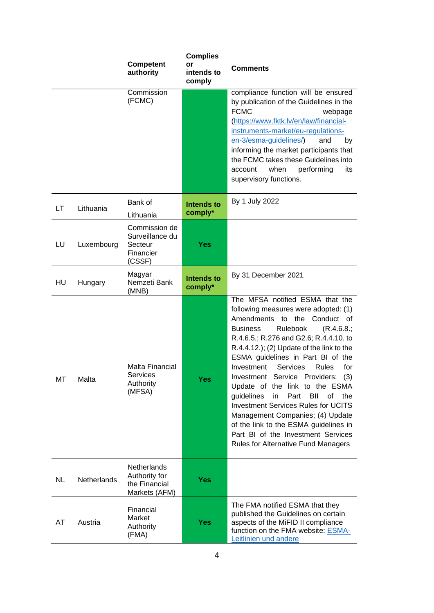|           |             | <b>Competent</b><br>authority                                         | <b>Complies</b><br>or<br>intends to<br>comply | <b>Comments</b>                                                                                                                                                                                                                                                                                                                                                                                                                                                                                                                                                                                                                                                            |
|-----------|-------------|-----------------------------------------------------------------------|-----------------------------------------------|----------------------------------------------------------------------------------------------------------------------------------------------------------------------------------------------------------------------------------------------------------------------------------------------------------------------------------------------------------------------------------------------------------------------------------------------------------------------------------------------------------------------------------------------------------------------------------------------------------------------------------------------------------------------------|
|           |             | Commission<br>(FCMC)                                                  |                                               | compliance function will be ensured<br>by publication of the Guidelines in the<br><b>FCMC</b><br>webpage<br>(https://www.fktk.lv/en/law/financial-<br>instruments-market/eu-regulations-<br>en-3/esma-guidelines/)<br>and<br>by<br>informing the market participants that<br>the FCMC takes these Guidelines into<br>when<br>performing<br>its<br>account<br>supervisory functions.                                                                                                                                                                                                                                                                                        |
| LT        | Lithuania   | Bank of<br>Lithuania                                                  | <b>Intends to</b><br>comply*                  | By 1 July 2022                                                                                                                                                                                                                                                                                                                                                                                                                                                                                                                                                                                                                                                             |
| LU        | Luxembourg  | Commission de<br>Surveillance du<br>Secteur<br>Financier<br>(CSSF)    | <b>Yes</b>                                    |                                                                                                                                                                                                                                                                                                                                                                                                                                                                                                                                                                                                                                                                            |
| HU        | Hungary     | Magyar<br>Nemzeti Bank<br>(MNB)                                       | <b>Intends to</b><br>comply*                  | By 31 December 2021                                                                                                                                                                                                                                                                                                                                                                                                                                                                                                                                                                                                                                                        |
| MT        | Malta       | <b>Malta Financial</b><br>Services<br>Authority<br>(MFSA)             | <b>Yes</b>                                    | The MFSA notified ESMA that the<br>following measures were adopted: (1)<br>Amendments to the<br>Conduct of<br><b>Business</b><br>Rulebook<br>(R.4.6.8.)<br>R.4.6.5.; R.276 and G2.6; R.4.4.10. to<br>R.4.4.12.); (2) Update of the link to the<br>ESMA guidelines in Part BI of the<br>Investment<br>Services<br><b>Rules</b><br>for<br>Investment Service Providers; (3)<br>Update of the link to the ESMA<br>guidelines<br>BII<br>in<br>Part<br>of<br>the<br><b>Investment Services Rules for UCITS</b><br>Management Companies; (4) Update<br>of the link to the ESMA guidelines in<br>Part BI of the Investment Services<br><b>Rules for Alternative Fund Managers</b> |
| <b>NL</b> | Netherlands | <b>Netherlands</b><br>Authority for<br>the Financial<br>Markets (AFM) | <b>Yes</b>                                    |                                                                                                                                                                                                                                                                                                                                                                                                                                                                                                                                                                                                                                                                            |
| AT        | Austria     | Financial<br>Market<br>Authority<br>(FMA)                             | <b>Yes</b>                                    | The FMA notified ESMA that they<br>published the Guidelines on certain<br>aspects of the MiFID II compliance<br>function on the FMA website: ESMA-<br>Leitlinien und andere                                                                                                                                                                                                                                                                                                                                                                                                                                                                                                |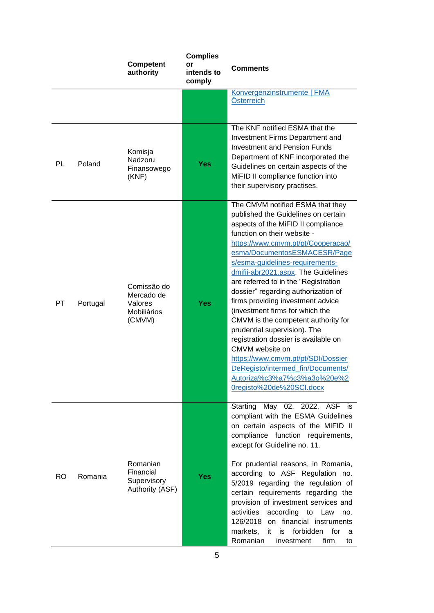|           |          | <b>Competent</b><br>authority                                 | <b>Complies</b><br>or<br>intends to<br>comply | Comments                                                                                                                                                                                                                                                                                                                                                                                                                                                                                                                                                                                                                                                                                                                    |
|-----------|----------|---------------------------------------------------------------|-----------------------------------------------|-----------------------------------------------------------------------------------------------------------------------------------------------------------------------------------------------------------------------------------------------------------------------------------------------------------------------------------------------------------------------------------------------------------------------------------------------------------------------------------------------------------------------------------------------------------------------------------------------------------------------------------------------------------------------------------------------------------------------------|
|           |          |                                                               |                                               | Konvergenzinstrumente   FMA<br>Österreich                                                                                                                                                                                                                                                                                                                                                                                                                                                                                                                                                                                                                                                                                   |
| PL        | Poland   | Komisja<br>Nadzoru<br>Finansowego<br>(KNF)                    | Yes                                           | The KNF notified ESMA that the<br>Investment Firms Department and<br><b>Investment and Pension Funds</b><br>Department of KNF incorporated the<br>Guidelines on certain aspects of the<br>MiFID II compliance function into<br>their supervisory practises.                                                                                                                                                                                                                                                                                                                                                                                                                                                                 |
| <b>PT</b> | Portugal | Comissão do<br>Mercado de<br>Valores<br>Mobiliários<br>(CMVM) | <b>Yes</b>                                    | The CMVM notified ESMA that they<br>published the Guidelines on certain<br>aspects of the MiFID II compliance<br>function on their website -<br>https://www.cmvm.pt/pt/Cooperacao/<br>esma/DocumentosESMACESR/Page<br>s/esma-guidelines-requirements-<br>dmifii-abr2021.aspx. The Guidelines<br>are referred to in the "Registration<br>dossier" regarding authorization of<br>firms providing investment advice<br>(investment firms for which the<br>CMVM is the competent authority for<br>prudential supervision). The<br>registration dossier is available on<br>CMVM website on<br>https://www.cmvm.pt/pt/SDI/Dossier<br>DeRegisto/intermed_fin/Documents/<br>Autoriza%c3%a7%c3%a3o%20e%2<br>Oregisto%20de%20SCI.docx |
| RO.       | Romania  | Romanian<br>Financial<br>Supervisory<br>Authority (ASF)       | <b>Yes</b>                                    | Starting May 02, 2022, ASF is<br>compliant with the ESMA Guidelines<br>on certain aspects of the MIFID II<br>compliance function requirements,<br>except for Guideline no. 11.<br>For prudential reasons, in Romania,<br>according to ASF Regulation no.<br>5/2019 regarding the regulation of<br>certain requirements regarding the<br>provision of investment services and<br>according<br>activities<br>to Law<br>no.<br>126/2018 on financial instruments<br>is forbidden for<br>markets,<br>it.<br>a<br>Romanian<br>firm<br>investment<br>to                                                                                                                                                                           |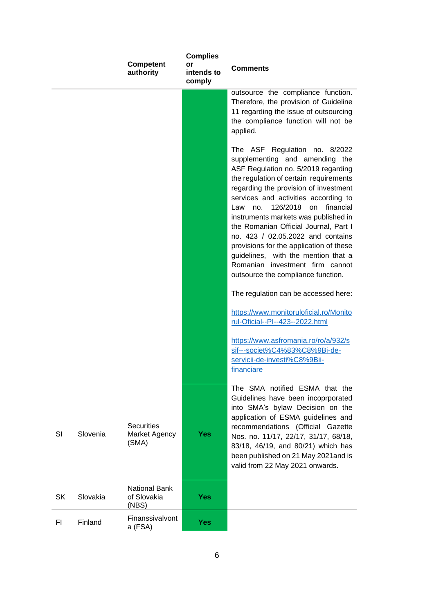|           |          | <b>Competent</b><br>authority               | <b>Complies</b><br>or<br>intends to<br>comply | <b>Comments</b>                                                                                                                                                                                                                                                                                                                                                                                                                                                                                                                                                                                         |
|-----------|----------|---------------------------------------------|-----------------------------------------------|---------------------------------------------------------------------------------------------------------------------------------------------------------------------------------------------------------------------------------------------------------------------------------------------------------------------------------------------------------------------------------------------------------------------------------------------------------------------------------------------------------------------------------------------------------------------------------------------------------|
|           |          |                                             |                                               | outsource the compliance function.<br>Therefore, the provision of Guideline<br>11 regarding the issue of outsourcing<br>the compliance function will not be<br>applied.                                                                                                                                                                                                                                                                                                                                                                                                                                 |
|           |          |                                             |                                               | The ASF Regulation no. 8/2022<br>supplementing and amending the<br>ASF Regulation no. 5/2019 regarding<br>the regulation of certain requirements<br>regarding the provision of investment<br>services and activities according to<br>126/2018<br>financial<br>Law<br>no.<br>on<br>instruments markets was published in<br>the Romanian Official Journal, Part I<br>no. 423 / 02.05.2022 and contains<br>provisions for the application of these<br>guidelines, with the mention that a<br>Romanian investment firm cannot<br>outsource the compliance function.<br>The regulation can be accessed here: |
|           |          |                                             |                                               | https://www.monitoruloficial.ro/Monito<br>rul-Oficial--PI--423--2022.html                                                                                                                                                                                                                                                                                                                                                                                                                                                                                                                               |
|           |          |                                             |                                               | https://www.asfromania.ro/ro/a/932/s<br>sif---societ%C4%83%C8%9Bi-de-<br>servicii-de-investi%C8%9Bii-<br>financiare                                                                                                                                                                                                                                                                                                                                                                                                                                                                                     |
| SI        | Slovenia | <b>Securities</b><br>Market Agency<br>(SMA) | <b>Yes</b>                                    | The SMA notified ESMA that the<br>Guidelines have been incoprporated<br>into SMA's bylaw Decision on the<br>application of ESMA guidelines and<br>recommendations (Official Gazette<br>Nos. no. 11/17, 22/17, 31/17, 68/18,<br>83/18, 46/19, and 80/21) which has<br>been published on 21 May 2021 and is<br>valid from 22 May 2021 onwards.                                                                                                                                                                                                                                                            |
| <b>SK</b> | Slovakia | National Bank<br>of Slovakia<br>(NBS)       | <b>Yes</b>                                    |                                                                                                                                                                                                                                                                                                                                                                                                                                                                                                                                                                                                         |
| FI.       | Finland  | Finanssivalvont<br>a (FSA)                  | <b>Yes</b>                                    |                                                                                                                                                                                                                                                                                                                                                                                                                                                                                                                                                                                                         |